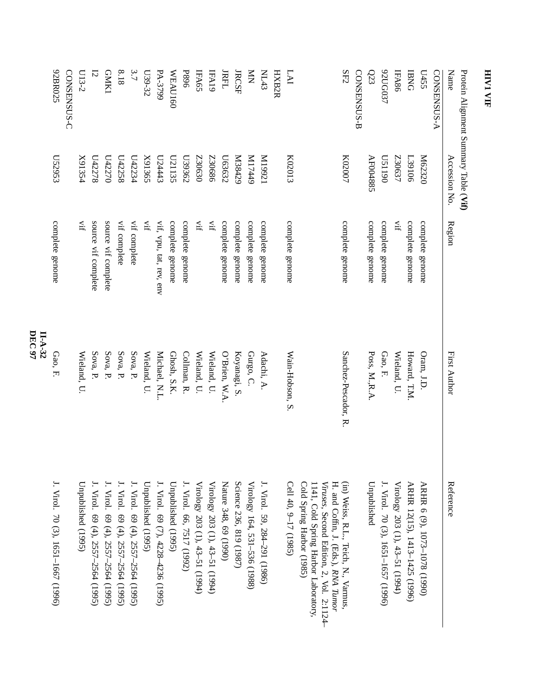| J. Virol. 70 (3), 1651–1667 (1996)                                                                                                                                                           | $II-A-32$<br>Gao, F. | complete genome         | ES6233                                | 92BR025            |
|----------------------------------------------------------------------------------------------------------------------------------------------------------------------------------------------|----------------------|-------------------------|---------------------------------------|--------------------|
|                                                                                                                                                                                              |                      |                         |                                       | CONSENSUS-C        |
| Unpublished (1995)                                                                                                                                                                           | Wieland, U.          | ŢŅ.                     | X91354                                | $U13-2$            |
| J. Virol. 69 (4), 2557–2564 (1995)                                                                                                                                                           | Sova, P.             | source vif complete     | U42278                                | 12                 |
| J. Virol. 69 (4), 2557-2564 (1995)                                                                                                                                                           | Sova, P.             | source vif complete     | U42270                                | <b>GNK1</b>        |
| J. Virol. 69 (4), 2557-2564 (1995)                                                                                                                                                           | Sova, P.             | vif complete            | U42258                                | 8.18               |
| J. Virol. 69 (4), 2557-2564 (1995)                                                                                                                                                           | Sova, P.             | vif complete            | L42234                                | 3.7                |
| Unpublished (1995)                                                                                                                                                                           | Wieland, U.          | Ţİ                      | X91365                                | L39-32             |
| J. Virol. 69 (7), 4228-4236 (1995)                                                                                                                                                           | Michael, N.L.        | vif, vpu, tat, rev, env | L24443                                | PA-3799            |
| Unpublished (1995)                                                                                                                                                                           | Ghosh, S.K.          | complete genome         | L21135                                | WEAU160            |
| J. Virol. 66, 7517 (1992)                                                                                                                                                                    | Collman, R.          | complete genome         | L39362                                | <b>P896</b>        |
| Virology 203 (1), 43-51 (1994)                                                                                                                                                               | Wieland, U.          | ĮÍ.                     | C30630                                | IFA65              |
| Virology 203 (1), 43-51 (1994)                                                                                                                                                               | Wieland, U.          | Ę                       | <b>Z30686</b>                         | IFA19              |
| Nature 348, 69 (1990)                                                                                                                                                                        | O'Brien, W.A         | complete genome         | L63632                                | <b>IRFL</b>        |
| Science 236, 819 (1987)                                                                                                                                                                      | Koyanagi, S.         | complete genome         | N38429                                | <b>JRCSF</b>       |
| Virology 164, 531-536 (1988)                                                                                                                                                                 | Gurgo, C.            | complete genome         | 6ttLIN                                | $\sum_{i=1}^{n}$   |
| J. Virol. 59, 284–291 (1986)                                                                                                                                                                 | Adachi, A.           | complete genome         | IZ661M                                | <b>NL43</b>        |
|                                                                                                                                                                                              |                      |                         |                                       | HXB2R              |
| Cell 40, 9-17 (1985)                                                                                                                                                                         | Wain-Hobson, S.      | complete genome         | K02013                                | LAI                |
| (in) Weiss, R.L., Teich, N., Varmus,<br>Cold Spring Harbor (1985)<br>Viruses, Second Edition, 2, Vol. 2:1124-<br>H. and Coffin, J. (Eds.), RNA Tumor<br>1141, Cold Spring Harbor Laboratory, | Sanchez-Pescador, R. | complete genome         | K02007                                | ${\rm SE2}$        |
|                                                                                                                                                                                              |                      |                         |                                       | CONSENSUS-B        |
| Unpublished                                                                                                                                                                                  | Poss, M.R.A.         | complete genome         | AF004885                              | $\Omega$ 3         |
| J. Virol. 70 (3), 1651–1657 (1996)                                                                                                                                                           | Gao, F.              | complete genome         | 0611SQ                                | ACCO37             |
| Virology 203 (1), 43-51 (1994)                                                                                                                                                               | Wieland, U.          | Ťİ                      | Z30637                                | IFA86              |
| ARHR 12(15), 1413-1425 (1996)                                                                                                                                                                | Howard, T.M.         | complete genome         | <b>L39106</b>                         | <b>BNG</b>         |
| ARHR 6 (9), 1073-1078 (1990)                                                                                                                                                                 | Oram, J.D.           | complete genome         | M62320                                | L455               |
|                                                                                                                                                                                              |                      |                         |                                       | <b>CONSENSUS-A</b> |
| Reference                                                                                                                                                                                    | First Author         | Region                  | Accession No.                         | Name               |
|                                                                                                                                                                                              |                      |                         | Protein Alignment Summary Table (Vif) |                    |

**DEC 97**

**HIV1**

 **VIF**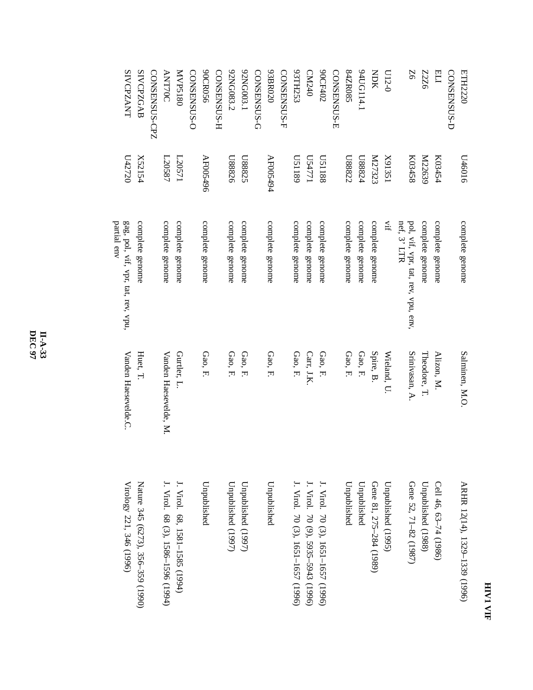| F<br>₹ |  |
|--------|--|
|        |  |
| ═      |  |

| <b>ETH2220</b>     | 0109tQ             | complete genome                                   | Salminen, M.O.        | ARHR 12(14), 1329-1339 (1996)      |
|--------------------|--------------------|---------------------------------------------------|-----------------------|------------------------------------|
| CONSENSUS-D        |                    |                                                   |                       |                                    |
| ELI                | K03454             | complete genome                                   | Alizon, M.            | Cell 46, 63-74 (1986)              |
| 9ZZZ               | M22639             | complete genome                                   | Theodore, T.          | Unpublished (1988)                 |
| 9Z                 | K03458             | pol, vif, vpr, tat, rev, vpu, env,<br>nef, 3' LTR | Srinivasan, A.        | Gene 52, 71-82 (1987)              |
| $U12-0$            | X91351             | È.                                                | Wieland, U.           | Unpublished (1995)                 |
| NOK                | K27323             | complete genome                                   | Spire, B.             | Gene 81, 275-284 (1989)            |
| 94UG114.1          | r <sub>28824</sub> | complete genome                                   | Gao, F.               | Unpublished                        |
| S808ZF8            | L88822             | complete genome                                   | Gao, F.               | Unpublished                        |
| CONSENSUS-E        |                    |                                                   |                       |                                    |
| 90CF402            | <b>U51188</b>      | complete genome                                   | Gao, F.               | J. Virol. 70 (3), 1651-1657 (1996) |
| CM240              | U54771             | complete genome                                   | Carr, J.K.            | J. Virol. 70 (9), 5935-5943 (1996) |
| <b>93TH253</b>     | 6811SQ             | complete genome                                   | Gao, F.               | J. Virol. 70 (3), 1651–1657 (1996) |
| CONSENSUS-F        |                    |                                                   |                       |                                    |
| 93BR020            | AF005494           | complete genome                                   | Gao, F.               | Unpublished                        |
| CONSENSUS-G        |                    |                                                   |                       |                                    |
| 92NG003.1          | U88825             | complete genome                                   | Gao, F.               | Unpublished (1997)                 |
| 92NG083.2          | <b>U88826</b>      | complete genome                                   | Gao, F.               | Unpublished (1997)                 |
| <b>CONSENSUS-H</b> |                    |                                                   |                       |                                    |
| 90CR056            | AF005496           | complete genome                                   | Gao, F.               | Unpublished                        |
| CONSENSUS-O        |                    |                                                   |                       |                                    |
| MVP5180            | L20571             | complete genome                                   | Gurtler, L.           | J. Virol. 68, 1581-1585 (1994)     |
| <b>ANT70C</b>      | L20587             | complete genome                                   | Vanden Haesevelde, M. | J. Virol. 68 (3), 1586–1596 (1994) |
| CONSENSUS-CPZ      |                    |                                                   |                       |                                    |
| <b>SIVCPZGAB</b>   | X52154             | complete genome                                   | Huet, T.              | Nature 345 (6273), 356–359 (1990)  |
| <b>SIVCPZANT</b>   | <b>U42720</b>      | gag, pol, vif, vpr, tat, rev, vpu,<br>partial env | Vanden Haesevelde.C.  | Virology 221, 346 (1996)           |
|                    |                    |                                                   |                       |                                    |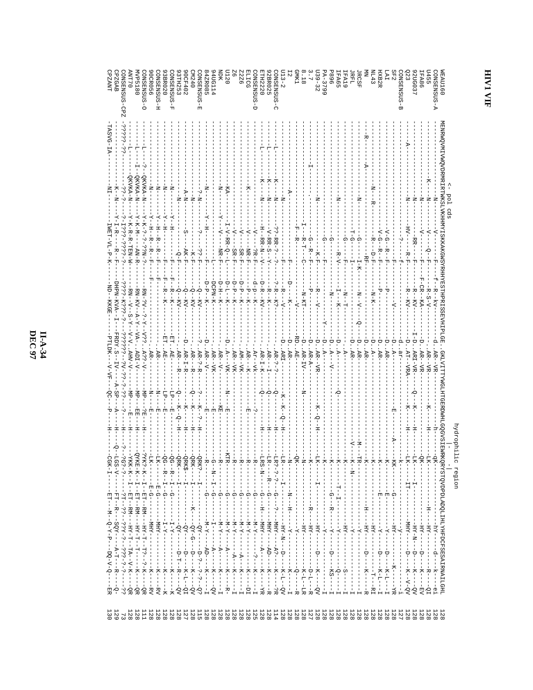**II-A-34**<br>DEC 97

| CPZGAB<br>CONSENSUS-CPZ<br>84ZR085<br>ЯQК<br>NL43<br>SF2<br>A-SUSMERNO<br>TAAAT<br>$113 - 2$<br><b>TXIME</b><br>$139 - 32$<br>SUSENS<br>E-SOS<br><b>U455</b><br>AVP5180<br>O-SOSENESNO<br><b>STH2220</b><br>CONSENSUS-C<br><b>IFA19</b><br>0LLM<br><b>IFA65</b><br>JRFL<br><b>JRCSF</b><br><b>HXB2R</b><br>1120<br>IA.<br>0 P Z M<br>$A - 3799$<br>LFA86<br>968<br>DNSENSUS-E<br>40G114<br>2UG037<br><b>OCR056</b><br>H-SOSNESNO<br><b>ONSENSUS-F</b><br><b>OCF402</b><br>922<br>Q-SQSNRESNO<br>2BR025<br>23<br>3BR020<br>STH <sub>253</sub><br>LICG<br>$\frac{1}{8}$<br>L                                                                                                                                                                                                                                                                                                                                                                                                                                                                                   | <b>VEAU160</b>                                                                                              |
|--------------------------------------------------------------------------------------------------------------------------------------------------------------------------------------------------------------------------------------------------------------------------------------------------------------------------------------------------------------------------------------------------------------------------------------------------------------------------------------------------------------------------------------------------------------------------------------------------------------------------------------------------------------------------------------------------------------------------------------------------------------------------------------------------------------------------------------------------------------------------------------------------------------------------------------------------------------------------------------------------------------------------------------------------------------|-------------------------------------------------------------------------------------------------------------|
| TASVG-IA<br>2332-32<br>부<br>Ĥ<br>D                                                                                                                                                                                                                                                                                                                                                                                                                                                                                                                                                                                                                                                                                                                                                                                                                                                                                                                                                                                                                           |                                                                                                             |
| QKVKA-N<br>QKVKA-N<br>QKVKA-N<br>ሻ<br>К-1<br>しここ<br>-<br>-<br>-<br>$\overline{X}$<br>Ż<br>I<br>Ż<br>Ż<br>Ř<br><b>K-TX</b><br>Ż<br>$A-N-$<br>N-d<br>$\mathcal{F}$<br>ı<br>Z<br>¦<br>¤<br>$-1$<br>Ł<br>$\frac{1}{4}$<br>ż<br>ź<br>ź<br>ź<br>ź<br>-¤−<br>ż<br>Ż<br>ᆽ                                                                                                                                                                                                                                                                                                                                                                                                                                                                                                                                                                                                                                                                                                                                                                                            | Pol                                                                                                         |
| - スードー シー シーンコート<br>$-7 - 7$<br>$-7 - N - N - N -$<br>÷<br>$\frac{1}{1}$<br><b>スースーカーカー 日内NI-NI</b><br>$-7$<br>ŕ<br>Y-I-R-<br>こーこうこうしょうこう<br>$I - V - R R - Q - I$<br>$-15M$<br>H<br>-<br>푸<br>$\overline{\lambda}$ –<br>피<br>H-HR-N-H<br>$\frac{1}{1}$<br>ζ.<br>$V - RR - S - -$<br>$2 - R R - 2 - -$<br>トローロー トロート<br>$N-B$<br>$-1$ $-1$ $-1$<br>$\tilde{\gamma}$<br>R-T---C<br>ດ<br>지<br>٦Ļ<br>RR-<br>ローマーロ<br>ဂု<br>Ω<br>Ω<br>⋒<br>$-9R-F$<br>$-KF-F$<br>– AN-R<br>$-$ NB $-$ F<br>$R - F$<br>AK-F<br>$SE-F$<br>$R - F$<br>$SR-F$<br>こう上<br>$-1$<br>님<br>-<br>$-9 - F$ .<br>トマー<br>$-1 - 7$<br>ーピーク<br>- 전면<br>$-L-K-$<br>⊹<br>피                                                                                                                                                                                                                                                                                                                                                                                                                         | MENENQANI KANDEN ELERE EREKEN EN EN KENNEN LONG SOMET ELERE EN ELERE ELERE ELERE ELERE ELERE ELERE E<br>cds |
| ង<br>먹<br>피<br>F-CR--KA-<br>$-1 - 1 - 1 - 1$<br>- ロ - H - - K -<br>-DCPN-K-<br>$-5 - F - K -$<br>$D - L - -K -$<br>ローセートドー<br>Ţ<br>$D - P - -K -$<br>D-R-FKV<br>$-R - K$ ?-<br>HPN-KVA--<br>$-5 - K -$<br>$-2 - 32 - 3 - 5 - 5 - 5$<br>- R – - K –<br>$-6 - KV -$<br>-R----V-<br>-R--KV-<br>-R--KV-<br>$-R-S-V$<br>-RN-?V--<br>$-6 - K\Lambda$<br>-R--K-<br>ャ<br>$-NA$ - $\delta$<br>$-NA - 0$<br>$RN - KN - 2N - 2N -$<br>÷<br>ا<br>÷<br>≍<br>$RN - V - S - Y -$<br>$R - K -$<br>ᡃᠣ<br>Д<br>1 – – – K–<br>$Z - 1 - 1 -$<br>N-KH-<br>ž<br>$N-\Delta$ -<br>$N-K-$<br>-kv-<br>$-7$<br>KKGE<br>╬<br>$\overline{\wedge}$<br>÷<br>Ģ                                                                                                                                                                                                                                                                                                                                                                                                                               |                                                                                                             |
| $\epsilon$ $-\lambda$ - $\epsilon$<br>FRDY.S--<br>$V-V$ . AHV-V-<br>こうこうこー しんしょうこう<br>й.<br>PTLDK-<br>þ<br>p<br>ë<br>p<br>母<br>Δ<br>p<br>ë<br>ë<br>ë<br>∪<br>$-\Lambda - \epsilon \epsilon \nabla$<br>$-5 -$<br>. AR .<br>. AR .<br>$.AR -$<br>$ADI-V-$<br>$AR - I - R$<br>$AR - V -$<br>$AP-I-K$<br>$AR-$<br>$-AR-$<br>AE<br>AR-?-R.<br>AR--VK-<br>$AB - V -$<br>$\overline{A}$<br>$AR-$<br>AE.<br>AR----R<br>$A--VK-$<br>$AR - VR$<br>AM--VK<br>$AR$ - - $-K$ -<br>AR-<br>$AE -$<br>$AR - TV -$<br>$AR - A -$<br>$A -$<br>дe<br>ARI-VR-<br>AR-<br>$Ax - -YK -$<br>AR-<br>AR-?-<br>ARI-<br>$AR--VR$<br>∀−<br>$AT-TRA$<br>$AR - VR$ .<br>$AR - VR$<br>AR--VR<br>A-i<br>$A$ --<br>$-LV$ -<br>$\overline{\mathrm{A}}$ –<br>눠                                                                                                                                                                                                                                                                                                                                   |                                                                                                             |
| $-A-SP$<br>ن-<br>ت<br>$-MD$ -<br>ਚ⊿−<br>$\bar{H}^-$<br>÷P<br>ငှ<br>ż<br>ż<br>ή.<br>Ż<br>Ż<br>Ò<br>خ×.<br>ή<br>-47<br>к<br>ငှ<br>$\frac{1}{2}$<br>-- K -<br>$-K - -5 -$<br>-<br>H--O--H<br>÷<br>∽<br>KE<br>₹-<br>К-<br>$\frac{1}{2}$<br>÷,<br>ů<br>K -<br>주<br>$-$ EH-<br>ė<br>ů<br>님<br>변<br>휴<br>国<br>国<br>⊅<br>۰J<br>固<br>国<br>$Q$ -H.<br>φ<br>$\pm$<br>$\pm$<br>÷<br>ャー<br>卞<br>±<br>ե<br>÷<br>÷<br>ŧ<br>፰<br>Ė<br>Ξ<br>Ħ                                                                                                                                                                                                                                                                                                                                                                                                                                                                                                                                                                                                                                 | THOTITYNGTITYSSIS ADGHITQOGYOTENNEKÖKXGLOLODTYDDYTHIYIHLADGHITYNSYTHTONALITATY                              |
| ή<br>ن-<br>ا<br>Ю<br>$CGK-T-$<br>$-1 - -1$<br>$QRKS---I---I$<br>$QRK? --- I --- I --- I$<br>- B-------<br>- R--<br>--<br>HE<br>$-$ B <sup>--</sup><br>- B--<br>- 比-<br>ー<br>トー<br>------------<br>$-1$<br>$-9K -$<br>$-5$<br>$-7$<br>$-7K$<br>$-7$<br>$\frac{1}{1}$<br>$-7 - 7$<br>$-5$<br>$-1 - 2 - 1$<br>m--<br>$-7$<br>…<br>下<br>$-5$<br>ードー<br>$-KK$ – $-$<br>$-5$<br>$-15K - 1$<br>$-25$<br>$-5K$ – –<br>$-4K$<br>QRK--<br>$LRS-N--$<br>$LGS-V--$<br>$-5C - 2 - - -$<br>TKK-K--<br>LK----<br>다<br>- -<br>-- 75<br>I<br>I<br>Í                                                                                                                                                                                                                                                                                                                                                                                                                                                                                                                           | Indorphi<br>ic region                                                                                       |
| $-9 - -F - T - T - 9$<br>$-9 - -3 - -3 - 3 - 2$<br>QG--R---H--G--<br>$-G - -I - -I - -G -$<br>YKE-K--H--ET--RM--<br>QRK-------<br>ì<br>Ť<br>$\begin{array}{c} 1 \\ 1 \\ 1 \end{array}$<br>$\frac{1}{1}$<br>$\frac{1}{1}$<br>п<br>1<br>$-111 -$<br>$\frac{1}{1}$<br>÷<br>ا<br>п<br>j.<br>ı<br>$H - H - H - H - H - H - H$<br>T<br>$\frac{1}{2}$<br>$-5-5$<br>$E-G--$<br>$---52 - -12 - -$<br>٦.<br>ှု<br>$\frac{1}{1}$<br>$\frac{1}{\Omega}$<br>$-1$<br>ှ<br> <br><u>ဂ</u><br>ဂ္<br>ဂ္<br>ဂု<br>ဂု<br>Φ<br>団<br>변<br>ဂှ<br>Н<br>ł<br>т<br>$\overline{\phantom{a}}$<br>$rac{1}{1}$<br>–<br>K––––<br>ー<br>トー<br>$\frac{1}{1}$<br>エート<br>コート<br>H<br>-<br>1                                                                                                                                                                                                                                                                                                                                                                                                      |                                                                                                             |
| -- 2 -- - - XHM - - - 2 -<br>-R----HY---<br>$\mathbf{I}$<br>$-$ XHM $-$<br>$- -X -N -$<br>$- -X -N -$<br>$-1 - 2 - 1$<br>$-$ LHM $-$<br>$---KHM -$<br>$-KHM -$<br>$- - X - W -$<br>$-1 - 2 - 1 - 1$<br>$-1 - 2 - 1 -$<br>$-X - M -$<br>$- - K H - -$<br>$-0x-0---1---$<br>$---XHM$<br>$- - - 2 - 222 - - - - - 2 - 22$<br>$-11X - 1 - 12Y - 1 - 12Y - 1$<br>-- HT -- T -- T --<br>$-1 - X - 1$<br>$-752 -$<br>$-1 - 2 - -1 - -1 - -2 - -$<br>$-KH$<br>$-HX - H - -D - -I$<br>$-4A +$<br>$-LX - -$<br>$\frac{1}{1}$<br>$-11X - 2 - 5 - 5$<br>$-1 - 1 -$<br>$-KH$<br>$- -X$ -<br>$- -X - -$<br>$- -X - -$<br>$-K--$<br>$-1 - 7 -$<br>$-HI$<br>$-7 - 7 - 7$<br>$-1 - 1 -$<br>$- H -$<br>$-X--$<br>$-LH-$<br>$-7 -$<br>$-X$ H<br>$-750$<br>$-1 - 2D - - - -$<br>$---A---$<br>$--A--$<br>$-1$<br>$-1$<br>$-1$<br>--A--<br>$-4-$<br>$-$ AD $-$<br>т<br>$---+--$<br>т<br>1<br>$-1$<br>I<br>ı<br>$\frac{1}{\sqrt{2}}$<br>т<br>ţ<br>1<br>п<br>1<br>۱<br>م<br>÷-<br>j<br>÷<br>I.<br>т                                                                                  |                                                                                                             |
| -- A-H--- R--<br>$-10 - 1 - 1 - 1 - 1 - 0$<br>$-1 - 2 - - -$<br>$-1$ - $-1$<br>$\frac{1}{1}$<br>$-K - 1$<br>$-K-T$ – K $-1$ – ON<br>ł<br>$- -K - - - -K -$<br>$-K--$<br>ŧ<br>ł<br>l,<br>j.<br>l.<br>ーK--<br>ł<br>ł<br>$\frac{1}{1}$<br>ŧ<br>ł<br>Ť.<br>Ť.<br>$R$ -<br>$3 - 2 - -6$<br>K------<br>K--<br>$-5$<br>$\overline{X}$<br>$-7$<br>$K$ -<br>$K$ --<br>$-7$<br>추<br>K-----?R<br>$\frac{1}{2}$<br>$K-L$ -L-LR<br>$D - L - - R$<br>$K---OV$<br>$KS = -1$<br>-------<br>K-------<br>$K-L$ -L-1---<br>$K-L$ -L-1---<br>K--<br>R--<br>*<br>ا<br>$-7$<br>$-7$<br>$K$ --<br>K------<br>ςi<br>ŧ<br>$K--V-QV$<br>$K----QV$<br>К--<br>$-1$ $-1$ $-1$ $-1$ $-1$ $-1$<br>т<br>ł<br>$--QR$<br>$-ERV$<br>--- K<br>$\Delta\delta$ --<br>$A\delta$ -<br>ł<br>$-$ R $-$<br>J.<br>$\frac{1}{1}$<br> <br> -<br> <br>$-$ RI<br>÷,<br>$-EMV$<br>$- - 21$<br>$\frac{1}{1}$<br>$-$<br>RV.<br>ЯK.<br>Ó.<br>四尺<br>$\frac{1}{2}$<br>ÓR.<br>ら<br>R<br>$\overline{\phantom{a}}$<br>Ė<br>$\frac{1}{\pi}$<br>1<br>ЯŘ<br>Οr<br>Γ<br>$\mathsf{H}$<br>$\mathsf{H}$<br>$\mathsf{H}$<br>Н |                                                                                                             |
| $127$<br>128<br><b>115</b><br>$\frac{128}{128}$<br>128<br>128<br>128<br>128<br>128<br>$128$<br>$127$<br>128<br>128<br>128<br>129<br>128<br>128<br>ETT<br>128<br>128<br>128<br>128<br>128<br>128<br>128<br>128<br>128<br>128<br>128<br>128<br>125<br>114<br>128<br>128<br>127<br>128<br>128<br>128<br>$\frac{128}{128}$<br>$\frac{128}{128}$<br>128<br>128<br>128<br>$-30$<br>$\frac{7}{3}$                                                                                                                                                                                                                                                                                                                                                                                                                                                                                                                                                                                                                                                                   | 128                                                                                                         |

## HIVI VIF